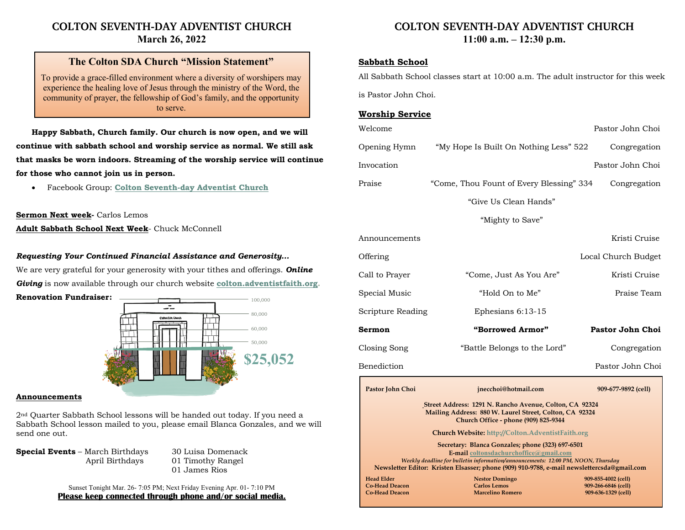# **COLTON SEVENTH-DAY ADVENTIST CHURCH March 26, 2022**

## **The Colton SDA Church "Mission Statement"**

To provide a grace-filled environment where a diversity of worshipers may experience the healing love of Jesus through the ministry of the Word, the community of prayer, the fellowship of God's family, and the opportunity to serve.

**Happy Sabbath, Church family. Our church is now open, and we will continue with sabbath school and worship service as normal. We still ask that masks be worn indoors. Streaming of the worship service will continue for those who cannot join us in person.**

• Facebook Group: **Colton Seventh-day Adventist Church**

#### **Sermon Next week-** Carlos Lemos

**Adult Sabbath School Next Week**- Chuck McConnell

#### *Requesting Your Continued Financial Assistance and Generosity…*

We are very grateful for your generosity with your tithes and offerings. *Online Giving* is now available through our church website **colton.adventistfaith.org.**

**Renovation Fundraiser:**



#### **Announcements**

2nd Quarter Sabbath School lessons will be handed out today. If you need a Sabbath School lesson mailed to you, please email Blanca Gonzales, and we will send one out.

**Special Events** – March Birthdays 30 Luisa Domenack

 April Birthdays 01 Timothy Rangel 01 James Rios

Sunset Tonight Mar. 26- 7:05 PM; Next Friday Evening Apr. 01- 7:10 PM **Please keep connected through phone and/or social media.**

## **COLTON SEVENTH-DAY ADVENTIST CHURCH 11:00 a.m. – 12:30 p.m.**

#### **Sabbath School**

All Sabbath School classes start at  $10:00$  a.m. The adult instructor for this week

is Pastor John Choi.

#### **Worship Service**

| Welcome      |                                          | Pastor John Choi |
|--------------|------------------------------------------|------------------|
| Opening Hymn | "My Hope Is Built On Nothing Less" 522   | Congregation     |
| Invocation   |                                          | Pastor John Choi |
| Praise       | "Come, Thou Fount of Every Blessing" 334 | Congregation     |

"Give Us Clean Hands"

"Mighty to Save"

| Benediction       |                              | Pastor John Choi    |
|-------------------|------------------------------|---------------------|
| Closing Song      | "Battle Belongs to the Lord" | Congregation        |
| Sermon            | "Borrowed Armor"             | Pastor John Choi    |
| Scripture Reading | Ephesians $6:13-15$          |                     |
| Special Music     | "Hold On to Me"              | Praise Team         |
| Call to Prayer    | "Come, Just As You Are"      | Kristi Cruise       |
| Offering          |                              | Local Church Budget |
| Announcements     |                              | Kristi Cruise       |

**Pastor John Choi jnecchoi@hotmail.com 909-677-9892 (cell) Street Address: 1291 N. Rancho Avenue, Colton, CA 92324 Mailing Address: 880 W. Laurel Street, Colton, CA 92324 Church Office - phone (909) 825-9344 Church Website: http://Colton.AdventistFaith.org Secretary: Blanca Gonzales; phone (323) 697-6501 E-mail coltonsdachurchoffice@gmail.com** *Weekly deadline for bulletin information/announcements: 12:00 PM, NOON, Thursday* **Newsletter Editor: Kristen Elsasser; phone (909) 910-9788, e-mail newslettercsda@gmail.com Head Elder Nestor Domingo 909-855-4002 (cell)**

**Co-Head Deacon Marcelino Romero 909-636-1329 (cell)**

**Co-Head Deacon Carlos Lemos 909-266-6846 (cell)**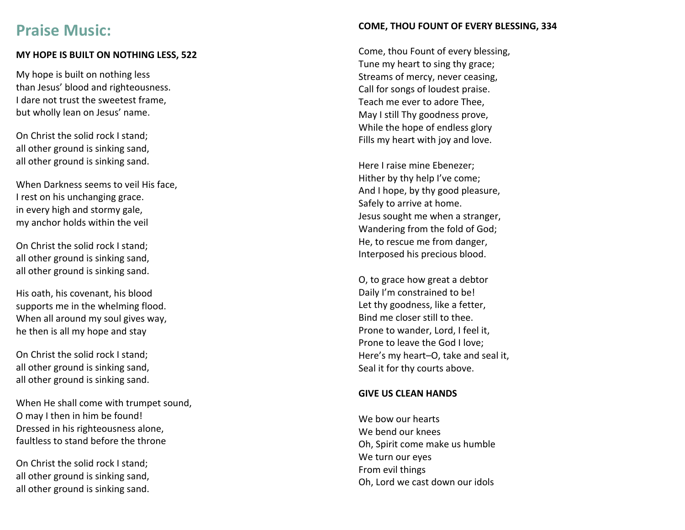# **Praise Music:**

## **MY HOPE IS BUILT ON NOTHING LESS, 522**

My hope is built on nothing less than Jesus' blood and righteousness. I dare not trust the sweetest frame, but wholly lean on Jesus' name.

On Christ the solid rock I stand; all other ground is sinking sand, all other ground is sinking sand.

When Darkness seems to veil His face, I rest on his unchanging grace. in every high and stormy gale, my anchor holds within the veil

On Christ the solid rock I stand; all other ground is sinking sand, all other ground is sinking sand.

His oath, his covenant, his blood supports me in the whelming flood. When all around my soul gives way, he then is all my hope and stay

On Christ the solid rock I stand; all other ground is sinking sand, all other ground is sinking sand.

When He shall come with trumpet sound, O may I then in him be found! Dressed in his righteousness alone, faultless to stand before the throne

On Christ the solid rock I stand; all other ground is sinking sand, all other ground is sinking sand.

## **COME, THOU FOUNT OF EVERY BLESSING, 334**

Come, thou Fount of every blessing, Tune my heart to sing thy grace; Streams of mercy, never ceasing, Call for songs of loudest praise. Teach me ever to adore Thee, May I still Thy goodness prove, While the hope of endless glory Fills my heart with joy and love.

Here I raise mine Ebenezer; Hither by thy help I've come; And I hope, by thy good pleasure, Safely to arrive at home. Jesus sought me when a stranger, Wandering from the fold of God; He, to rescue me from danger, Interposed his precious blood.

O, to grace how great a debtor Daily I'm constrained to be! Let thy goodness, like a fetter, Bind me closer still to thee. Prone to wander, Lord, I feel it, Prone to leave the God I love; Here's my heart –O, take and seal it, Seal it for thy courts above.

## **GIVE US CLEAN HANDS**

We bow our hearts We bend our knees Oh, Spirit come make us humble We turn our eyes From evil things Oh, Lord we cast down our idol s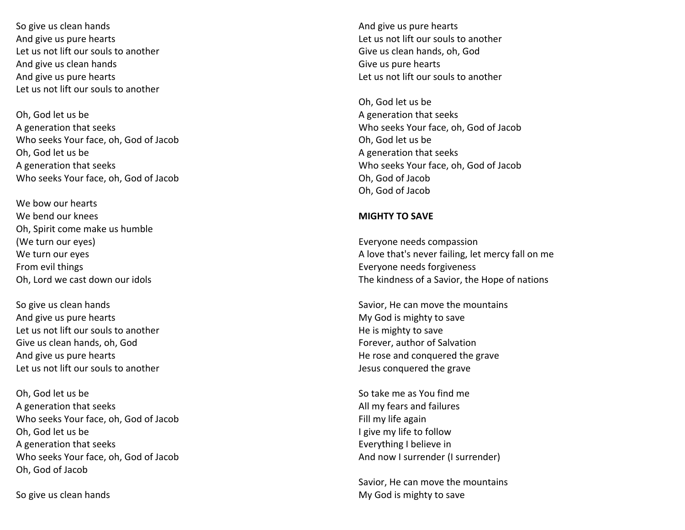So give us clean hands And give us pure hearts Let us not lift our souls to another And give us clean hands And give us pure hearts Let us not lift our souls to another

Oh, God let us be A generation that seeks Who seeks Your face, oh, God of Jacob Oh, God let us be A generation that seeks Who seeks Your face, oh, God of Jacob

We bow our hearts We bend our knees Oh, Spirit come make us humble (We turn our eyes) We turn our eyes From evil things Oh, Lord we cast down our idols

So give us clean hands And give us pure hearts Let us not lift our souls to another Give us clean hands, oh, God And give us pure hearts Let us not lift our souls to another

Oh, God let us be A generation that seeks Who seeks Your face, oh, God of Jacob Oh, God let us be A generation that seeks Who seeks Your face, oh, God of Jacob Oh, God of Jacob

So give us clean hands

And give us pure hearts Let us not lift our souls to another Give us clean hands, oh, God Give us pure hearts Let us not lift our souls to another

Oh, God let us be A generation that seeks Who seeks Your face, oh, God of Jacob Oh, God let us be A generation that seeks Who seeks Your face, oh, God of Jacob Oh, God of Jacob Oh, God of Jacob

#### **MIGHTY TO SAVE**

Everyone needs compassion A love that's never failing, let mercy fall on me Everyone needs forgiveness The kindness of a Savior, the Hope of nations

Savior, He can move the mountains My God is mighty to save He is mighty to save Forever, author of Salvation He rose and conquered the grave Jesus conquered the grave

So take me as You find me All my fears and failures Fill my life again I give my life to follow Everything I believe in And now I surrender (I surrender)

Savior, He can move the mountains My God is mighty to save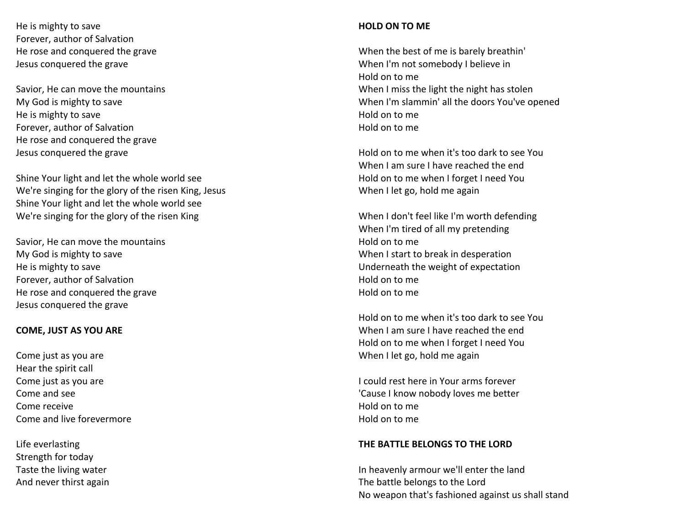He is mighty to save Forever, author of Salvation He rose and conquered the grave Jesus conquered the grave

Savior, He can move the mountains My God is mighty to save He is mighty to save Forever, author of Salvation He rose and conquered the grave Jesus conquered the grave

Shine Your light and let the whole world see We're singing for the glory of the risen King, Jesus Shine Your light and let the whole world see We're singing for the glory of the risen King

Savior, He can move the mountains My God is mighty to save He is mighty to save Forever, author of Salvation He rose and conquered the grave Jesus conquered the grave

## **COME, JUST AS YOU ARE**

Come just as you are Hear the spirit call Come just as you are Come and see Come receive Come and live forevermore

Life everlasting Strength for today Taste the living water And never thirst again

## **HOLD ON TO ME**

When the best of me is barely breathin' When I'm not somebody I believe in Hold on to me When I miss the light the night has stolen When I'm slammin' all the doors You've opened Hold on to me Hold on to me

Hold on to me when it's too dark to see You When I am sure I have reached the end Hold on to me when I forget I need You When I let go, hold me again

When I don't feel like I'm worth defending When I'm tired of all my pretending Hold on to me When I start to break in desperation Underneath the weight of expectation Hold on to me Hold on to me

Hold on to me when it's too dark to see You When I am sure I have reached the end Hold on to me when I forget I need You When I let go, hold me again

I could rest here in Your arms forever 'Cause I know nobody loves me better Hold on to me Hold on to me

#### **THE BATTLE BELONGS TO THE LORD**

In heavenly armour we'll enter the land The battle belongs to the Lord No weapon that's fashioned against us shall stand